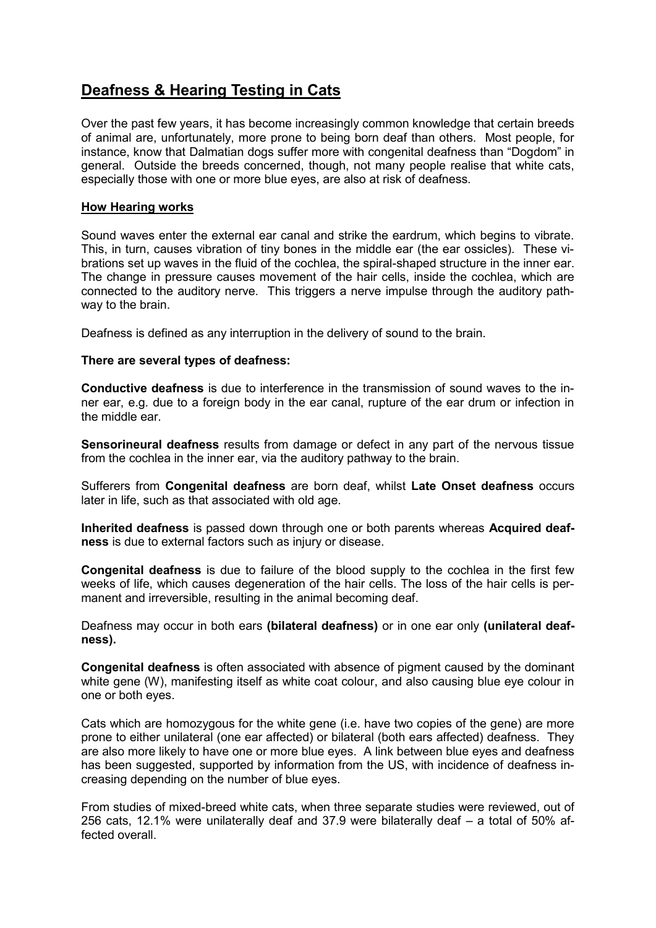# **Deafness & Hearing Testing in Cats**

Over the past few years, it has become increasingly common knowledge that certain breeds of animal are, unfortunately, more prone to being born deaf than others. Most people, for instance, know that Dalmatian dogs suffer more with congenital deafness than "Dogdom" in general. Outside the breeds concerned, though, not many people realise that white cats, especially those with one or more blue eyes, are also at risk of deafness.

# **How Hearing works**

Sound waves enter the external ear canal and strike the eardrum, which begins to vibrate. This, in turn, causes vibration of tiny bones in the middle ear (the ear ossicles). These vibrations set up waves in the fluid of the cochlea, the spiral-shaped structure in the inner ear. The change in pressure causes movement of the hair cells, inside the cochlea, which are connected to the auditory nerve. This triggers a nerve impulse through the auditory pathway to the brain.

Deafness is defined as any interruption in the delivery of sound to the brain.

## **There are several types of deafness:**

**Conductive deafness** is due to interference in the transmission of sound waves to the inner ear, e.g. due to a foreign body in the ear canal, rupture of the ear drum or infection in the middle ear.

**Sensorineural deafness** results from damage or defect in any part of the nervous tissue from the cochlea in the inner ear, via the auditory pathway to the brain.

Sufferers from **Congenital deafness** are born deaf, whilst **Late Onset deafness** occurs later in life, such as that associated with old age.

**Inherited deafness** is passed down through one or both parents whereas **Acquired deafness** is due to external factors such as injury or disease.

**Congenital deafness** is due to failure of the blood supply to the cochlea in the first few weeks of life, which causes degeneration of the hair cells. The loss of the hair cells is permanent and irreversible, resulting in the animal becoming deaf.

Deafness may occur in both ears **(bilateral deafness)** or in one ear only **(unilateral deafness).**

**Congenital deafness** is often associated with absence of pigment caused by the dominant white gene (W), manifesting itself as white coat colour, and also causing blue eye colour in one or both eyes.

Cats which are homozygous for the white gene (i.e. have two copies of the gene) are more prone to either unilateral (one ear affected) or bilateral (both ears affected) deafness. They are also more likely to have one or more blue eyes. A link between blue eyes and deafness has been suggested, supported by information from the US, with incidence of deafness increasing depending on the number of blue eyes.

From studies of mixed-breed white cats, when three separate studies were reviewed, out of 256 cats, 12.1% were unilaterally deaf and 37.9 were bilaterally deaf – a total of 50% affected overall.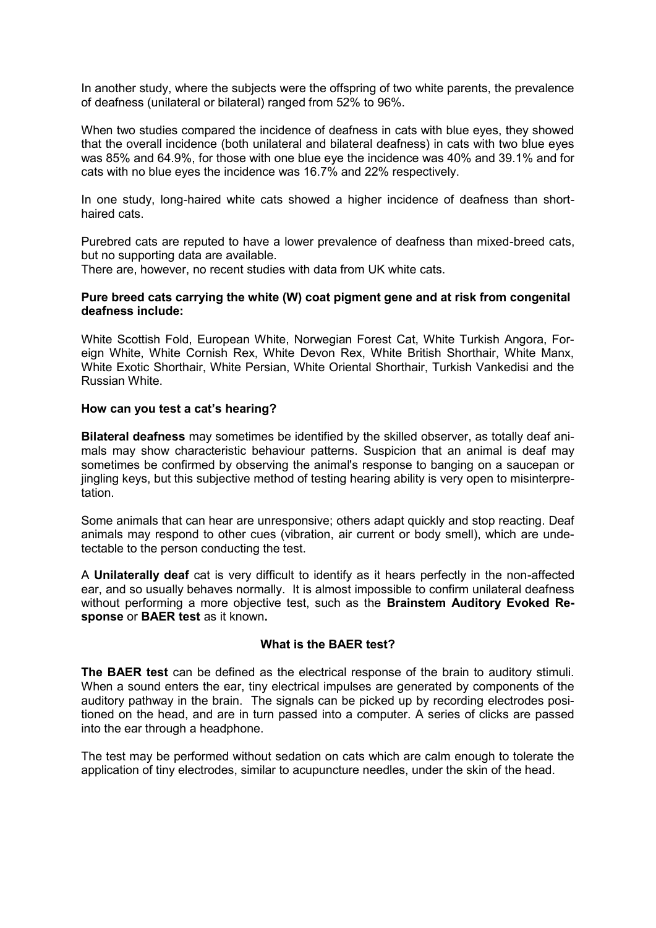In another study, where the subjects were the offspring of two white parents, the prevalence of deafness (unilateral or bilateral) ranged from 52% to 96%.

When two studies compared the incidence of deafness in cats with blue eyes, they showed that the overall incidence (both unilateral and bilateral deafness) in cats with two blue eyes was 85% and 64.9%, for those with one blue eye the incidence was 40% and 39.1% and for cats with no blue eyes the incidence was 16.7% and 22% respectively.

In one study, long-haired white cats showed a higher incidence of deafness than shorthaired cats.

Purebred cats are reputed to have a lower prevalence of deafness than mixed-breed cats, but no supporting data are available.

There are, however, no recent studies with data from UK white cats.

#### **Pure breed cats carrying the white (W) coat pigment gene and at risk from congenital deafness include:**

White Scottish Fold, European White, Norwegian Forest Cat, White Turkish Angora, Foreign White, White Cornish Rex, White Devon Rex, White British Shorthair, White Manx, White Exotic Shorthair, White Persian, White Oriental Shorthair, Turkish Vankedisi and the Russian White.

#### **How can you test a cat's hearing?**

**Bilateral deafness** may sometimes be identified by the skilled observer, as totally deaf animals may show characteristic behaviour patterns. Suspicion that an animal is deaf may sometimes be confirmed by observing the animal's response to banging on a saucepan or jingling keys, but this subjective method of testing hearing ability is very open to misinterpre**tation** 

Some animals that can hear are unresponsive; others adapt quickly and stop reacting. Deaf animals may respond to other cues (vibration, air current or body smell), which are undetectable to the person conducting the test.

A **Unilaterally deaf** cat is very difficult to identify as it hears perfectly in the non-affected ear, and so usually behaves normally. It is almost impossible to confirm unilateral deafness without performing a more objective test, such as the **Brainstem Auditory Evoked Response** or **BAER test** as it known**.**

## **What is the BAER test?**

**The BAER test** can be defined as the electrical response of the brain to auditory stimuli. When a sound enters the ear, tiny electrical impulses are generated by components of the auditory pathway in the brain. The signals can be picked up by recording electrodes positioned on the head, and are in turn passed into a computer. A series of clicks are passed into the ear through a headphone.

The test may be performed without sedation on cats which are calm enough to tolerate the application of tiny electrodes, similar to acupuncture needles, under the skin of the head.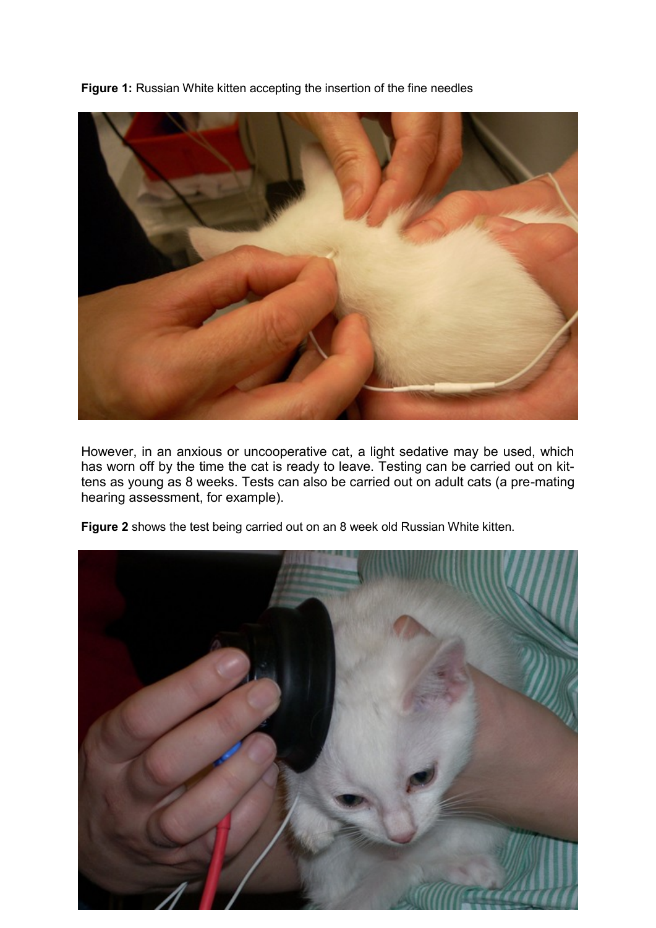**Figure 1:** Russian White kitten accepting the insertion of the fine needles



However, in an anxious or uncooperative cat, a light sedative may be used, which has worn off by the time the cat is ready to leave. Testing can be carried out on kittens as young as 8 weeks. Tests can also be carried out on adult cats (a pre-mating hearing assessment, for example).



**Figure 2** shows the test being carried out on an 8 week old Russian White kitten.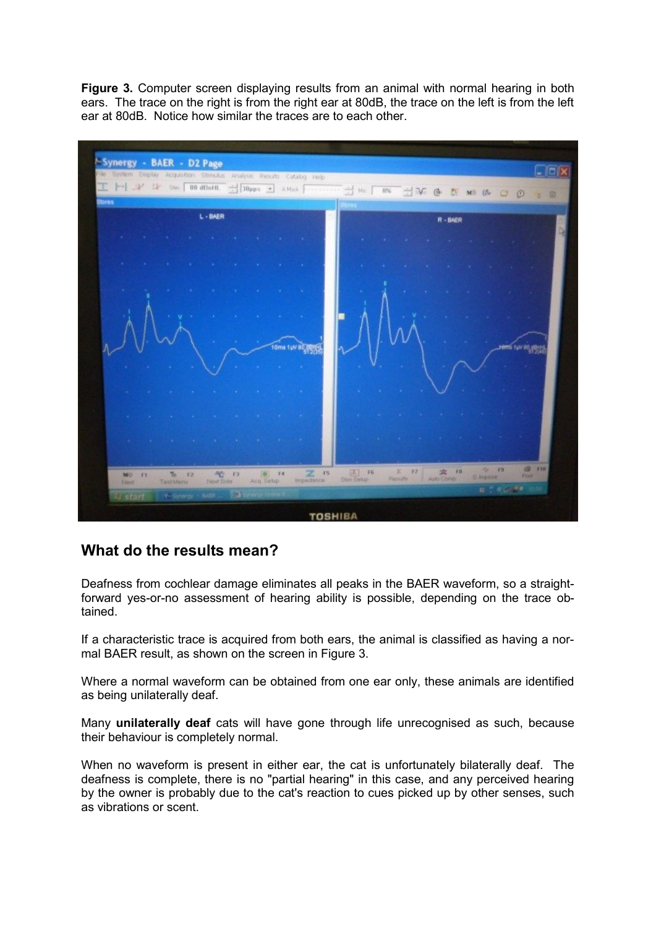**Figure 3.** Computer screen displaying results from an animal with normal hearing in both ears. The trace on the right is from the right ear at 80dB, the trace on the left is from the left ear at 80dB. Notice how similar the traces are to each other.



# **What do the results mean?**

Deafness from cochlear damage eliminates all peaks in the BAER waveform, so a straightforward yes-or-no assessment of hearing ability is possible, depending on the trace obtained.

If a characteristic trace is acquired from both ears, the animal is classified as having a normal BAER result, as shown on the screen in Figure 3.

Where a normal waveform can be obtained from one ear only, these animals are identified as being unilaterally deaf.

Many **unilaterally deaf** cats will have gone through life unrecognised as such, because their behaviour is completely normal.

When no waveform is present in either ear, the cat is unfortunately bilaterally deaf. The deafness is complete, there is no "partial hearing" in this case, and any perceived hearing by the owner is probably due to the cat's reaction to cues picked up by other senses, such as vibrations or scent.